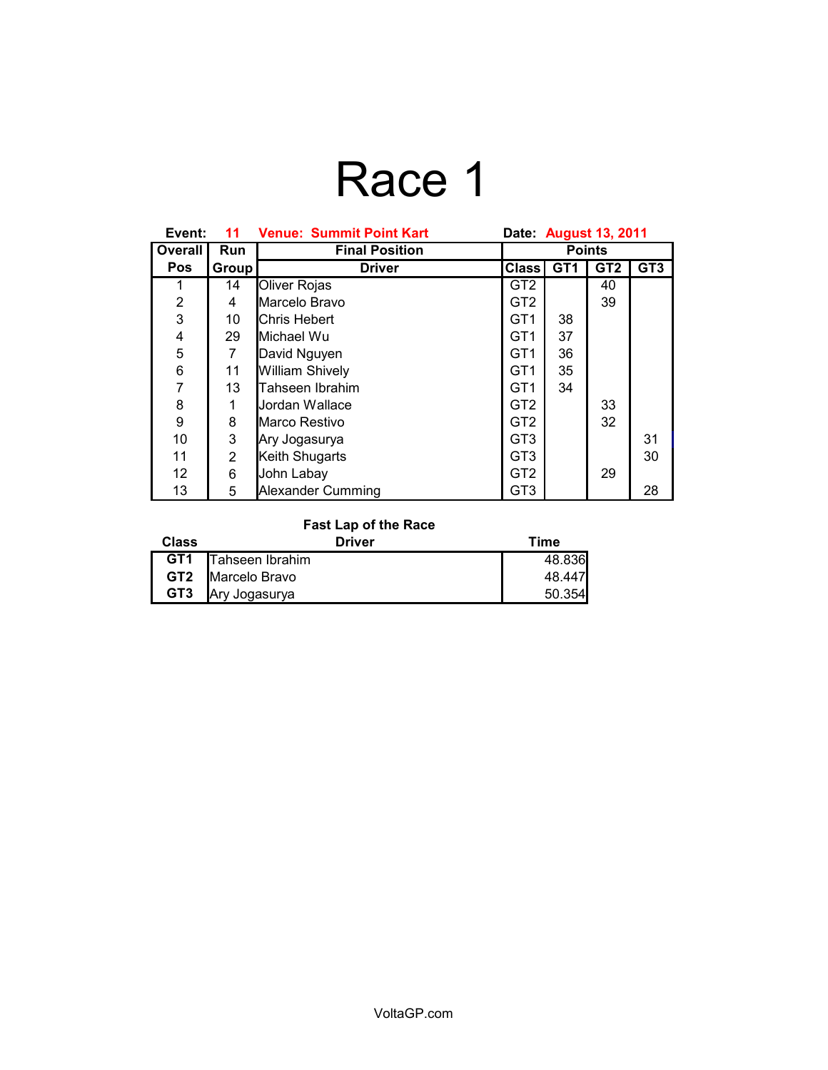# Race 1

| Event:         | 11         | <b>Venue: Summit Point Kart</b> | Date: August 13, 2011 |                 |                 |                 |
|----------------|------------|---------------------------------|-----------------------|-----------------|-----------------|-----------------|
| Overall        | <b>Run</b> | <b>Final Position</b>           | <b>Points</b>         |                 |                 |                 |
| <b>Pos</b>     | Group      | <b>Driver</b>                   | <b>Class</b>          | GT <sub>1</sub> | GT <sub>2</sub> | GT <sub>3</sub> |
| 1              | 14         | Oliver Rojas                    | GT <sub>2</sub>       |                 | 40              |                 |
| $\overline{2}$ | 4          | Marcelo Bravo                   | GT2                   |                 | 39              |                 |
| 3              | 10         | <b>Chris Hebert</b>             | GT1                   | 38              |                 |                 |
| 4              | 29         | Michael Wu                      | GT <sub>1</sub>       | 37              |                 |                 |
| 5              | 7          | David Nguyen                    | GT <sub>1</sub>       | 36              |                 |                 |
| 6              | 11         | <b>William Shively</b>          | GT <sub>1</sub>       | 35              |                 |                 |
| $\overline{7}$ | 13         | Tahseen Ibrahim                 | GT <sub>1</sub>       | 34              |                 |                 |
| 8              |            | Jordan Wallace                  | GT <sub>2</sub>       |                 | 33              |                 |
| 9              | 8          | Marco Restivo                   | GT <sub>2</sub>       |                 | 32              |                 |
| 10             | 3          | Ary Jogasurya                   | GT <sub>3</sub>       |                 |                 | 31              |
| 11             | 2          | Keith Shugarts                  | GT <sub>3</sub>       |                 |                 | 30              |
| 12             | 6          | John Labay                      | GT <sub>2</sub>       |                 | 29              |                 |
| 13             | 5          | <b>Alexander Cumming</b>        | GT <sub>3</sub>       |                 |                 | 28              |

#### **Fast Lap of the Race**

| Class           | Driver                   | Time   |
|-----------------|--------------------------|--------|
| GT <sub>1</sub> | Tahseen Ibrahim          | 48.836 |
|                 | <b>GT2</b> Marcelo Bravo | 48.447 |
| GT <sub>3</sub> | Ary Jogasurya            | 50.354 |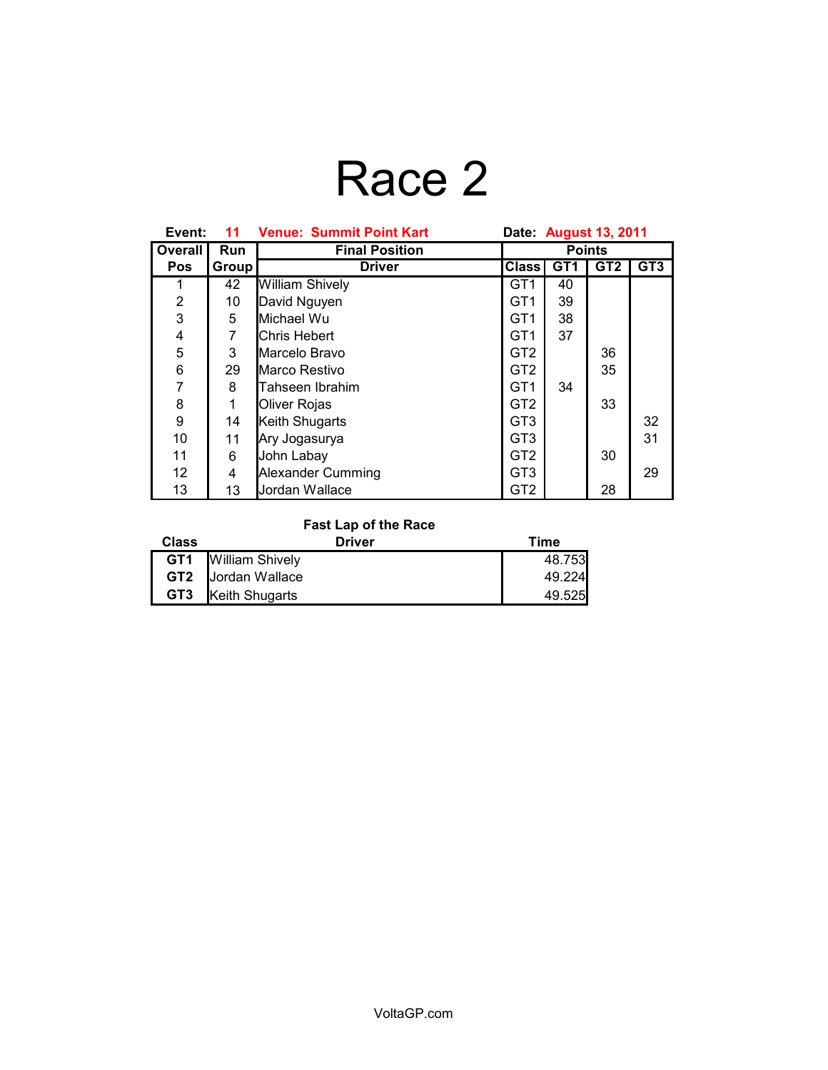# Race 2

| Event:         | 11    | <b>Venue: Summit Point Kart</b> | Date: August 13, 2011 |                 |                 |                 |
|----------------|-------|---------------------------------|-----------------------|-----------------|-----------------|-----------------|
| Overall        | Run   | <b>Final Position</b>           | <b>Points</b>         |                 |                 |                 |
| <b>Pos</b>     | Group | <b>Driver</b>                   | <b>Class</b>          | GT <sub>1</sub> | GT <sub>2</sub> | GT <sub>3</sub> |
| 1              | 42    | <b>William Shively</b>          | GT1                   | 40              |                 |                 |
| $\overline{2}$ | 10    | David Nguyen                    | GT <sub>1</sub>       | 39              |                 |                 |
| 3              | 5     | Michael Wu                      | GT1                   | 38              |                 |                 |
| 4              | 7     | Chris Hebert                    | GT <sub>1</sub>       | 37              |                 |                 |
| 5              | 3     | Marcelo Bravo                   | GT <sub>2</sub>       |                 | 36              |                 |
| 6              | 29    | Marco Restivo                   | GT <sub>2</sub>       |                 | 35              |                 |
| $\overline{7}$ | 8     | Tahseen Ibrahim                 | GT <sub>1</sub>       | 34              |                 |                 |
| 8              | 1     | Oliver Rojas                    | GT <sub>2</sub>       |                 | 33              |                 |
| 9              | 14    | Keith Shugarts                  | GT <sub>3</sub>       |                 |                 | 32              |
| 10             | 11    | Ary Jogasurya                   | GT <sub>3</sub>       |                 |                 | 31              |
| 11             | 6     | John Labay                      | GT <sub>2</sub>       |                 | 30              |                 |
| 12             | 4     | Alexander Cumming               | GT <sub>3</sub>       |                 |                 | 29              |
| 13             | 13    | Jordan Wallace                  | GT <sub>2</sub>       |                 | 28              |                 |

### **Fast Lap of the Race**

| Class | <b>Driver</b>              | Time   |
|-------|----------------------------|--------|
|       | <b>GT1</b> William Shively | 48.753 |
|       | <b>GT2</b> Jordan Wallace  | 49.224 |
| GT3   | Keith Shugarts             | 49.525 |